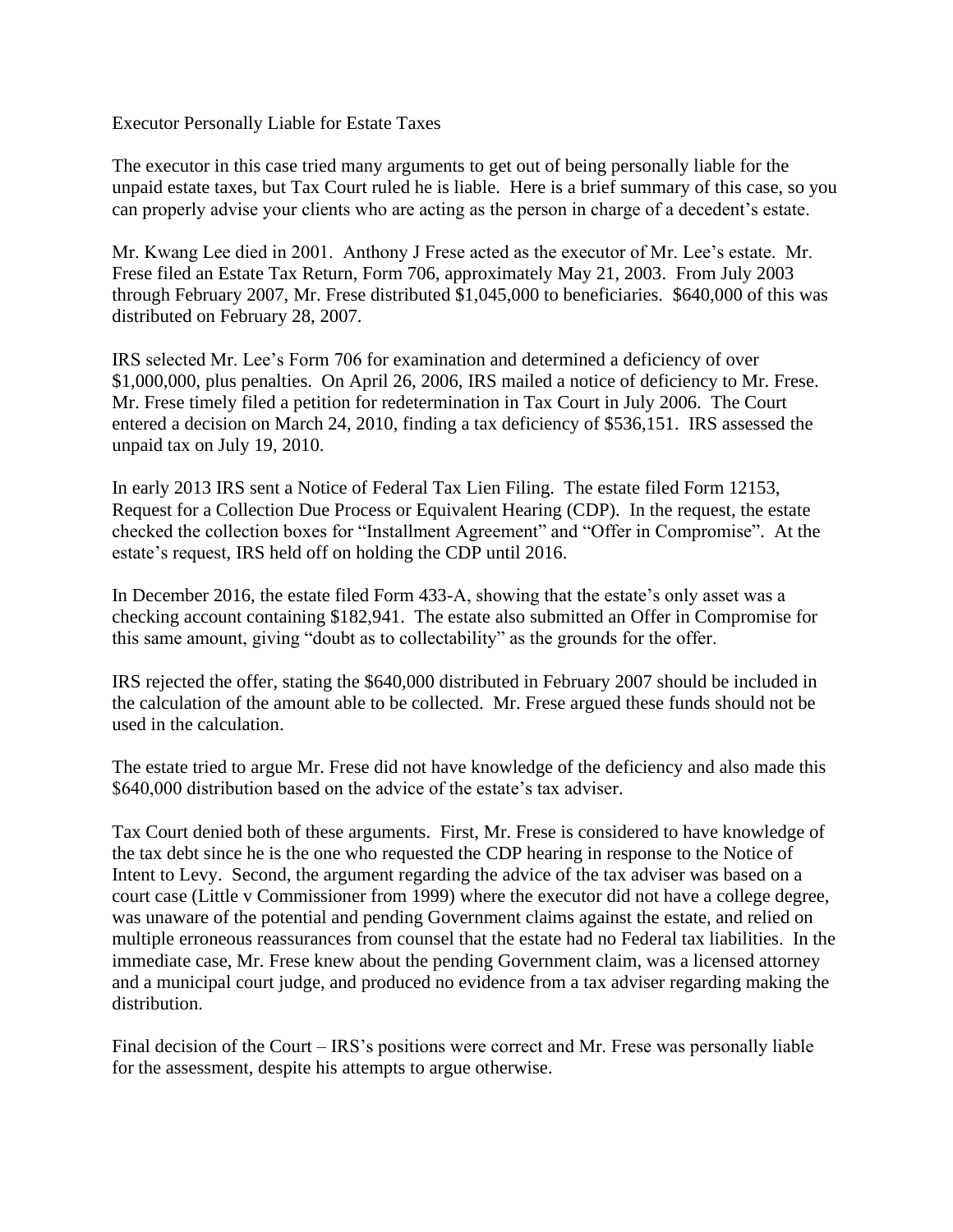Executor Personally Liable for Estate Taxes

The executor in this case tried many arguments to get out of being personally liable for the unpaid estate taxes, but Tax Court ruled he is liable. Here is a brief summary of this case, so you can properly advise your clients who are acting as the person in charge of a decedent's estate.

Mr. Kwang Lee died in 2001. Anthony J Frese acted as the executor of Mr. Lee's estate. Mr. Frese filed an Estate Tax Return, Form 706, approximately May 21, 2003. From July 2003 through February 2007, Mr. Frese distributed \$1,045,000 to beneficiaries. \$640,000 of this was distributed on February 28, 2007.

IRS selected Mr. Lee's Form 706 for examination and determined a deficiency of over \$1,000,000, plus penalties. On April 26, 2006, IRS mailed a notice of deficiency to Mr. Frese. Mr. Frese timely filed a petition for redetermination in Tax Court in July 2006. The Court entered a decision on March 24, 2010, finding a tax deficiency of \$536,151. IRS assessed the unpaid tax on July 19, 2010.

In early 2013 IRS sent a Notice of Federal Tax Lien Filing. The estate filed Form 12153, Request for a Collection Due Process or Equivalent Hearing (CDP). In the request, the estate checked the collection boxes for "Installment Agreement" and "Offer in Compromise". At the estate's request, IRS held off on holding the CDP until 2016.

In December 2016, the estate filed Form 433-A, showing that the estate's only asset was a checking account containing \$182,941. The estate also submitted an Offer in Compromise for this same amount, giving "doubt as to collectability" as the grounds for the offer.

IRS rejected the offer, stating the \$640,000 distributed in February 2007 should be included in the calculation of the amount able to be collected. Mr. Frese argued these funds should not be used in the calculation.

The estate tried to argue Mr. Frese did not have knowledge of the deficiency and also made this \$640,000 distribution based on the advice of the estate's tax adviser.

Tax Court denied both of these arguments. First, Mr. Frese is considered to have knowledge of the tax debt since he is the one who requested the CDP hearing in response to the Notice of Intent to Levy. Second, the argument regarding the advice of the tax adviser was based on a court case (Little v Commissioner from 1999) where the executor did not have a college degree, was unaware of the potential and pending Government claims against the estate, and relied on multiple erroneous reassurances from counsel that the estate had no Federal tax liabilities. In the immediate case, Mr. Frese knew about the pending Government claim, was a licensed attorney and a municipal court judge, and produced no evidence from a tax adviser regarding making the distribution.

Final decision of the Court – IRS's positions were correct and Mr. Frese was personally liable for the assessment, despite his attempts to argue otherwise.